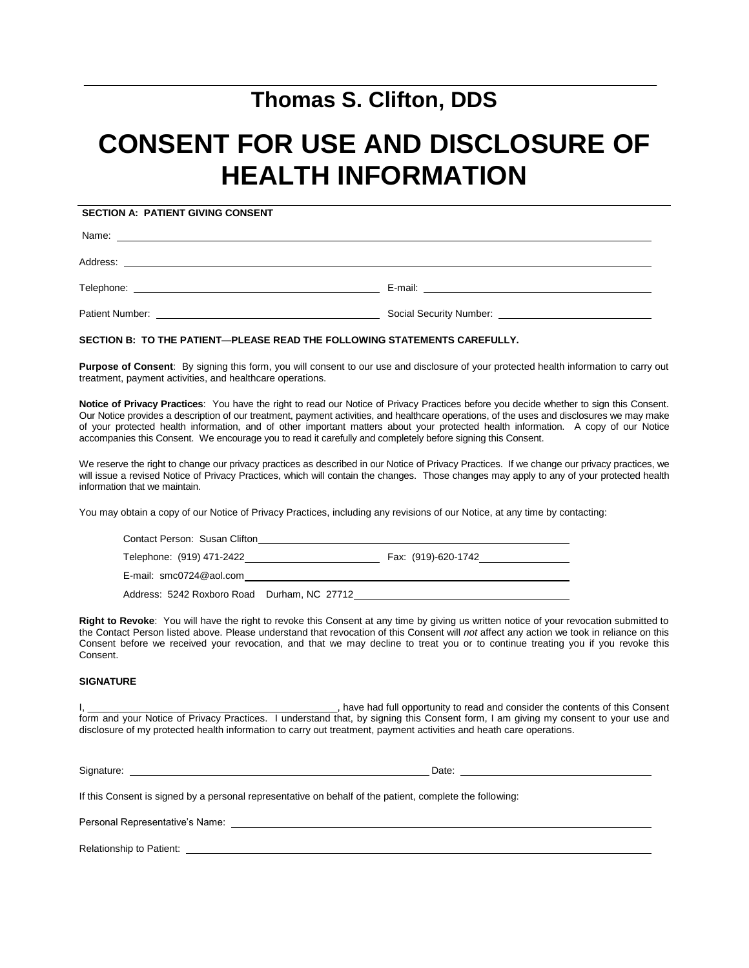# **Thomas S. Clifton, DDS**

# **CONSENT FOR USE AND DISCLOSURE OF HEALTH INFORMATION**

**SECTION A: PATIENT GIVING CONSENT**

Name:

Address:

Telephone: E-mail:

Patient Number: Social Security Number:

### **SECTION B: TO THE PATIENT**—**PLEASE READ THE FOLLOWING STATEMENTS CAREFULLY.**

**Purpose of Consent**: By signing this form, you will consent to our use and disclosure of your protected health information to carry out treatment, payment activities, and healthcare operations.

**Notice of Privacy Practices**: You have the right to read our Notice of Privacy Practices before you decide whether to sign this Consent. Our Notice provides a description of our treatment, payment activities, and healthcare operations, of the uses and disclosures we may make of your protected health information, and of other important matters about your protected health information. A copy of our Notice accompanies this Consent. We encourage you to read it carefully and completely before signing this Consent.

We reserve the right to change our privacy practices as described in our Notice of Privacy Practices. If we change our privacy practices, we will issue a revised Notice of Privacy Practices, which will contain the changes. Those changes may apply to any of your protected health information that we maintain.

You may obtain a copy of our Notice of Privacy Practices, including any revisions of our Notice, at any time by contacting:

| Contact Person: Susan Clifton               |                     |
|---------------------------------------------|---------------------|
| Telephone: (919) 471-2422                   | Fax: (919)-620-1742 |
| E-mail: smc0724@aol.com                     |                     |
| Address: 5242 Roxboro Road Durham, NC 27712 |                     |

**Right to Revoke**: You will have the right to revoke this Consent at any time by giving us written notice of your revocation submitted to the Contact Person listed above. Please understand that revocation of this Consent will *not* affect any action we took in reliance on this Consent before we received your revocation, and that we may decline to treat you or to continue treating you if you revoke this Consent.

#### **SIGNATURE**

I, the state of the contents of this Consent of the contents of this Consent of this Consent form and your Notice of Privacy Practices. I understand that, by signing this Consent form, I am giving my consent to your use and disclosure of my protected health information to carry out treatment, payment activities and heath care operations.

Signature: Date:

If this Consent is signed by a personal representative on behalf of the patient, complete the following:

Personal Representative's Name: \_\_\_\_\_\_\_\_\_\_\_\_

Relationship to Patient: